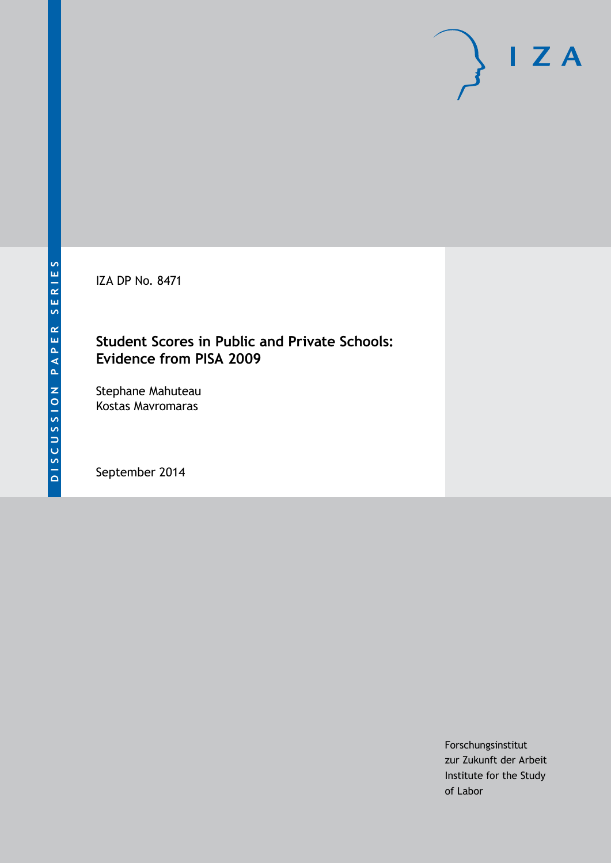IZA DP No. 8471

# **Student Scores in Public and Private Schools: Evidence from PISA 2009**

Stephane Mahuteau Kostas Mavromaras

September 2014

Forschungsinstitut zur Zukunft der Arbeit Institute for the Study of Labor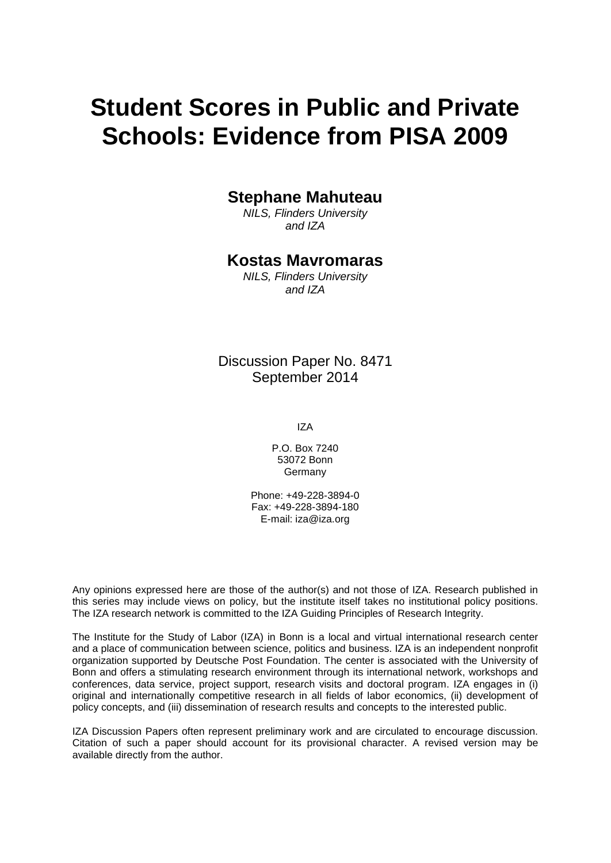# **Student Scores in Public and Private Schools: Evidence from PISA 2009**

## **Stephane Mahuteau**

*NILS, Flinders University and IZA*

# **Kostas Mavromaras**

*NILS, Flinders University and IZA*

Discussion Paper No. 8471 September 2014

IZA

P.O. Box 7240 53072 Bonn Germany

Phone: +49-228-3894-0 Fax: +49-228-3894-180 E-mail: [iza@iza.org](mailto:iza@iza.org)

Any opinions expressed here are those of the author(s) and not those of IZA. Research published in this series may include views on policy, but the institute itself takes no institutional policy positions. The IZA research network is committed to the IZA Guiding Principles of Research Integrity.

The Institute for the Study of Labor (IZA) in Bonn is a local and virtual international research center and a place of communication between science, politics and business. IZA is an independent nonprofit organization supported by Deutsche Post Foundation. The center is associated with the University of Bonn and offers a stimulating research environment through its international network, workshops and conferences, data service, project support, research visits and doctoral program. IZA engages in (i) original and internationally competitive research in all fields of labor economics, (ii) development of policy concepts, and (iii) dissemination of research results and concepts to the interested public.

IZA Discussion Papers often represent preliminary work and are circulated to encourage discussion. Citation of such a paper should account for its provisional character. A revised version may be available directly from the author.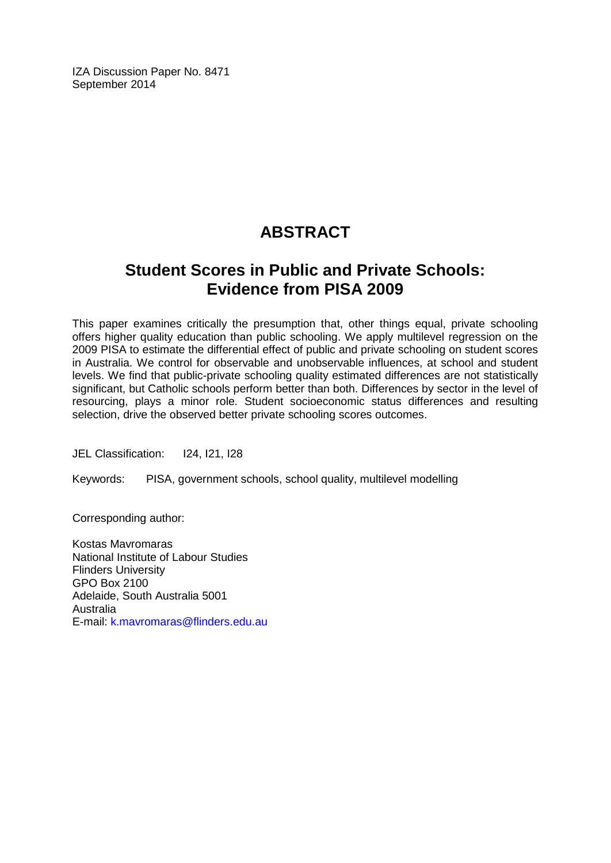IZA Discussion Paper No. 8471 September 2014

# **ABSTRACT**

# **Student Scores in Public and Private Schools: Evidence from PISA 2009**

This paper examines critically the presumption that, other things equal, private schooling offers higher quality education than public schooling. We apply multilevel regression on the 2009 PISA to estimate the differential effect of public and private schooling on student scores in Australia. We control for observable and unobservable influences, at school and student levels. We find that public-private schooling quality estimated differences are not statistically significant, but Catholic schools perform better than both. Differences by sector in the level of resourcing, plays a minor role. Student socioeconomic status differences and resulting selection, drive the observed better private schooling scores outcomes.

JEL Classification: I24, I21, I28

Keywords: PISA, government schools, school quality, multilevel modelling

Corresponding author:

Kostas Mavromaras National Institute of Labour Studies Flinders University GPO Box 2100 Adelaide, South Australia 5001 Australia E-mail: [k.mavromaras@flinders.edu.au](mailto:k.mavromaras@flinders.edu.au)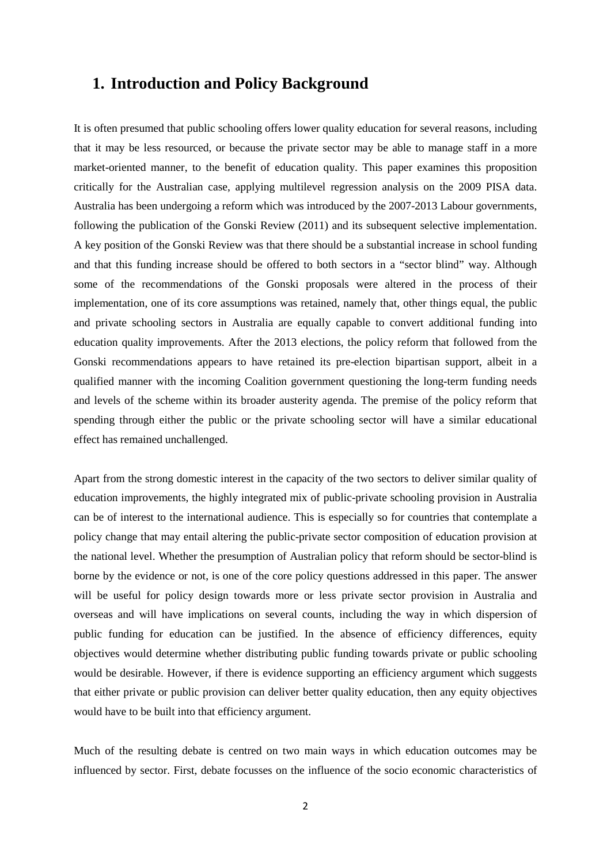### **1. Introduction and Policy Background**

It is often presumed that public schooling offers lower quality education for several reasons, including that it may be less resourced, or because the private sector may be able to manage staff in a more market-oriented manner, to the benefit of education quality. This paper examines this proposition critically for the Australian case, applying multilevel regression analysis on the 2009 PISA data. Australia has been undergoing a reform which was introduced by the 2007-2013 Labour governments, following the publication of the Gonski Review (2011) and its subsequent selective implementation. A key position of the Gonski Review was that there should be a substantial increase in school funding and that this funding increase should be offered to both sectors in a "sector blind" way. Although some of the recommendations of the Gonski proposals were altered in the process of their implementation, one of its core assumptions was retained, namely that, other things equal, the public and private schooling sectors in Australia are equally capable to convert additional funding into education quality improvements. After the 2013 elections, the policy reform that followed from the Gonski recommendations appears to have retained its pre-election bipartisan support, albeit in a qualified manner with the incoming Coalition government questioning the long-term funding needs and levels of the scheme within its broader austerity agenda. The premise of the policy reform that spending through either the public or the private schooling sector will have a similar educational effect has remained unchallenged.

Apart from the strong domestic interest in the capacity of the two sectors to deliver similar quality of education improvements, the highly integrated mix of public-private schooling provision in Australia can be of interest to the international audience. This is especially so for countries that contemplate a policy change that may entail altering the public-private sector composition of education provision at the national level. Whether the presumption of Australian policy that reform should be sector-blind is borne by the evidence or not, is one of the core policy questions addressed in this paper. The answer will be useful for policy design towards more or less private sector provision in Australia and overseas and will have implications on several counts, including the way in which dispersion of public funding for education can be justified. In the absence of efficiency differences, equity objectives would determine whether distributing public funding towards private or public schooling would be desirable. However, if there is evidence supporting an efficiency argument which suggests that either private or public provision can deliver better quality education, then any equity objectives would have to be built into that efficiency argument.

Much of the resulting debate is centred on two main ways in which education outcomes may be influenced by sector. First, debate focusses on the influence of the socio economic characteristics of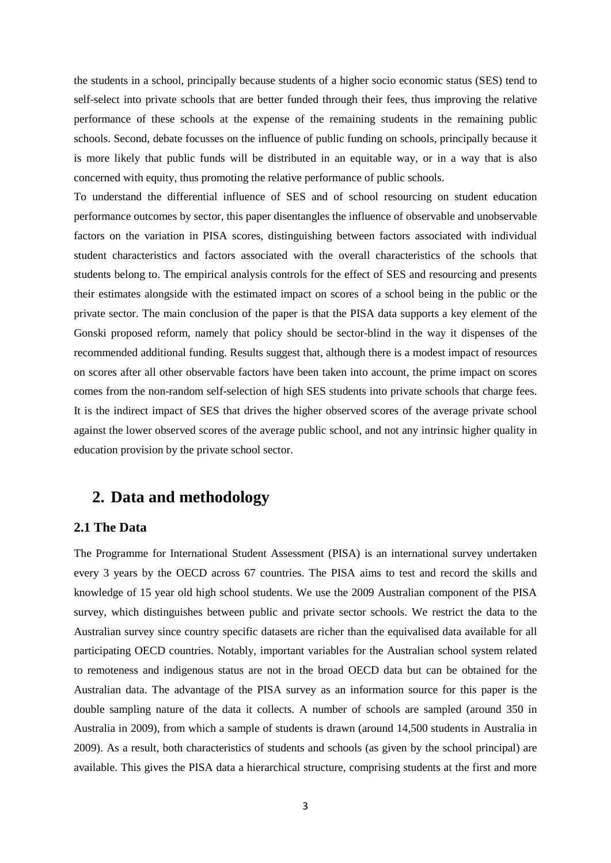the students in a school, principally because students of a higher socio economic status (SES) tend to self-select into private schools that are better funded through their fees, thus improving the relative performance of these schools at the expense of the remaining students in the remaining public schools. Second, debate focusses on the influence of public funding on schools, principally because it is more likely that public funds will be distributed in an equitable way, or in a way that is also concerned with equity, thus promoting the relative performance of public schools.

To understand the differential influence of SES and of school resourcing on student education performance outcomes by sector, this paper disentangles the influence of observable and unobservable factors on the variation in PISA scores, distinguishing between factors associated with individual student characteristics and factors associated with the overall characteristics of the schools that students belong to. The empirical analysis controls for the effect of SES and resourcing and presents their estimates alongside with the estimated impact on scores of a school being in the public or the private sector. The main conclusion of the paper is that the PISA data supports a key element of the Gonski proposed reform, namely that policy should be sector-blind in the way it dispenses of the recommended additional funding. Results suggest that, although there is a modest impact of resources on scores after all other observable factors have been taken into account, the prime impact on scores comes from the non-random self-selection of high SES students into private schools that charge fees. It is the indirect impact of SES that drives the higher observed scores of the average private school against the lower observed scores of the average public school, and not any intrinsic higher quality in education provision by the private school sector.

# **2. Data and methodology**

#### **2.1 The Data**

The Programme for International Student Assessment (PISA) is an international survey undertaken every 3 years by the OECD across 67 countries. The PISA aims to test and record the skills and knowledge of 15 year old high school students. We use the 2009 Australian component of the PISA survey, which distinguishes between public and private sector schools. We restrict the data to the Australian survey since country specific datasets are richer than the equivalised data available for all participating OECD countries. Notably, important variables for the Australian school system related to remoteness and indigenous status are not in the broad OECD data but can be obtained for the Australian data. The advantage of the PISA survey as an information source for this paper is the double sampling nature of the data it collects. A number of schools are sampled (around 350 in Australia in 2009), from which a sample of students is drawn (around 14,500 students in Australia in 2009). As a result, both characteristics of students and schools (as given by the school principal) are available. This gives the PISA data a hierarchical structure, comprising students at the first and more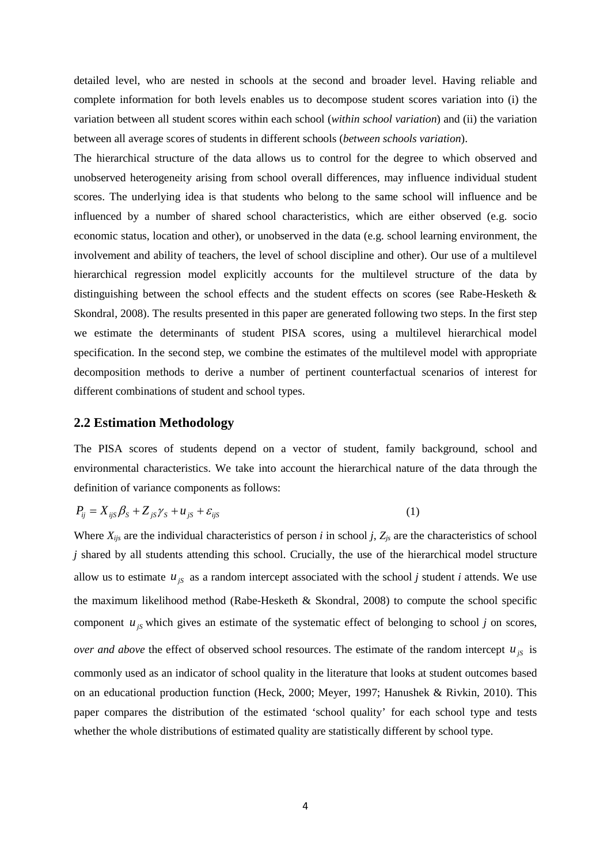detailed level, who are nested in schools at the second and broader level. Having reliable and complete information for both levels enables us to decompose student scores variation into (i) the variation between all student scores within each school (*within school variation*) and (ii) the variation between all average scores of students in different schools (*between schools variation*).

The hierarchical structure of the data allows us to control for the degree to which observed and unobserved heterogeneity arising from school overall differences, may influence individual student scores. The underlying idea is that students who belong to the same school will influence and be influenced by a number of shared school characteristics, which are either observed (e.g. socio economic status, location and other), or unobserved in the data (e.g. school learning environment, the involvement and ability of teachers, the level of school discipline and other). Our use of a multilevel hierarchical regression model explicitly accounts for the multilevel structure of the data by distinguishing between the school effects and the student effects on scores (see Rabe-Hesketh & Skondral, 2008). The results presented in this paper are generated following two steps. In the first step we estimate the determinants of student PISA scores, using a multilevel hierarchical model specification. In the second step, we combine the estimates of the multilevel model with appropriate decomposition methods to derive a number of pertinent counterfactual scenarios of interest for different combinations of student and school types.

#### **2.2 Estimation Methodology**

The PISA scores of students depend on a vector of student, family background, school and environmental characteristics. We take into account the hierarchical nature of the data through the definition of variance components as follows:

$$
P_{ij} = X_{ijS}\beta_S + Z_{jS}\gamma_S + u_{jS} + \varepsilon_{ijS}
$$
 (1)

Where  $X_{ijs}$  are the individual characteristics of person *i* in school *j*,  $Z_{js}$  are the characteristics of school *j* shared by all students attending this school. Crucially, the use of the hierarchical model structure allow us to estimate  $u_{js}$  as a random intercept associated with the school *j* student *i* attends. We use the maximum likelihood method (Rabe-Hesketh & Skondral, 2008) to compute the school specific component  $u_{jS}$  which gives an estimate of the systematic effect of belonging to school *j* on scores, *over and above* the effect of observed school resources. The estimate of the random intercept  $u_{jS}$  is commonly used as an indicator of school quality in the literature that looks at student outcomes based on an educational production function (Heck, 2000; Meyer, 1997; Hanushek & Rivkin, 2010). This paper compares the distribution of the estimated 'school quality' for each school type and tests whether the whole distributions of estimated quality are statistically different by school type.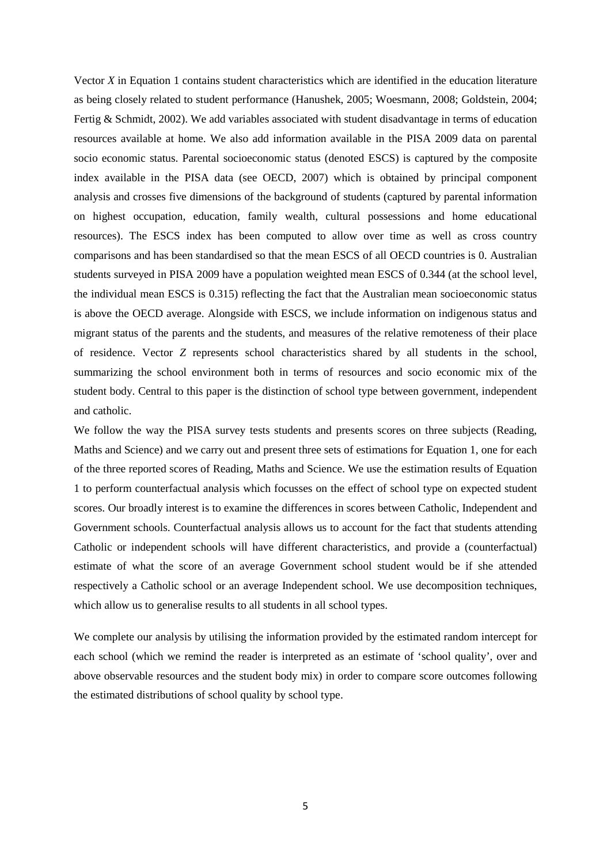Vector *X* in Equation 1 contains student characteristics which are identified in the education literature as being closely related to student performance (Hanushek, 2005; Woesmann, 2008; Goldstein, 2004; Fertig & Schmidt, 2002). We add variables associated with student disadvantage in terms of education resources available at home. We also add information available in the PISA 2009 data on parental socio economic status. Parental socioeconomic status (denoted ESCS) is captured by the composite index available in the PISA data (see OECD, 2007) which is obtained by principal component analysis and crosses five dimensions of the background of students (captured by parental information on highest occupation, education, family wealth, cultural possessions and home educational resources). The ESCS index has been computed to allow over time as well as cross country comparisons and has been standardised so that the mean ESCS of all OECD countries is 0. Australian students surveyed in PISA 2009 have a population weighted mean ESCS of 0.344 (at the school level, the individual mean ESCS is 0.315) reflecting the fact that the Australian mean socioeconomic status is above the OECD average. Alongside with ESCS, we include information on indigenous status and migrant status of the parents and the students, and measures of the relative remoteness of their place of residence. Vector *Z* represents school characteristics shared by all students in the school, summarizing the school environment both in terms of resources and socio economic mix of the student body. Central to this paper is the distinction of school type between government, independent and catholic.

We follow the way the PISA survey tests students and presents scores on three subjects (Reading, Maths and Science) and we carry out and present three sets of estimations for Equation 1, one for each of the three reported scores of Reading, Maths and Science. We use the estimation results of Equation 1 to perform counterfactual analysis which focusses on the effect of school type on expected student scores. Our broadly interest is to examine the differences in scores between Catholic, Independent and Government schools. Counterfactual analysis allows us to account for the fact that students attending Catholic or independent schools will have different characteristics, and provide a (counterfactual) estimate of what the score of an average Government school student would be if she attended respectively a Catholic school or an average Independent school. We use decomposition techniques, which allow us to generalise results to all students in all school types.

We complete our analysis by utilising the information provided by the estimated random intercept for each school (which we remind the reader is interpreted as an estimate of 'school quality', over and above observable resources and the student body mix) in order to compare score outcomes following the estimated distributions of school quality by school type.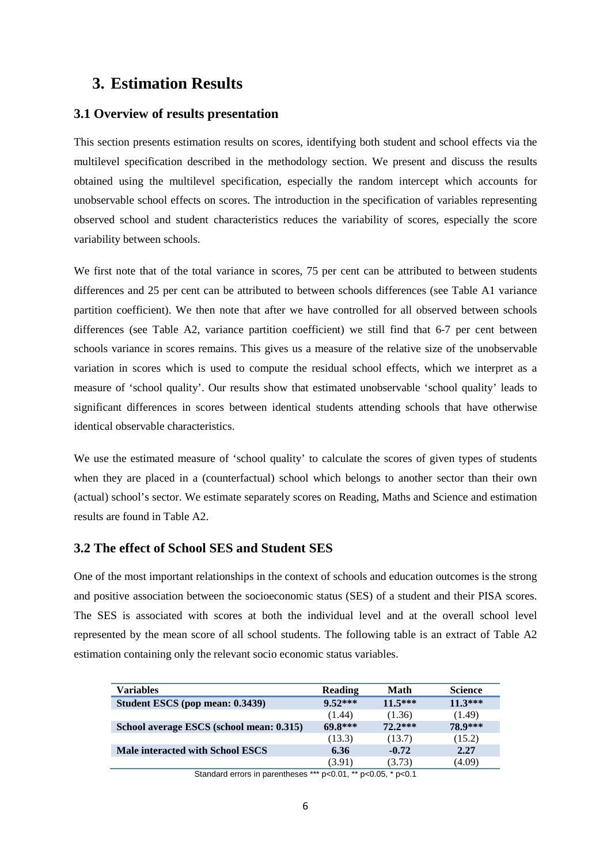# **3. Estimation Results**

#### **3.1 Overview of results presentation**

This section presents estimation results on scores, identifying both student and school effects via the multilevel specification described in the methodology section. We present and discuss the results obtained using the multilevel specification, especially the random intercept which accounts for unobservable school effects on scores. The introduction in the specification of variables representing observed school and student characteristics reduces the variability of scores, especially the score variability between schools.

We first note that of the total variance in scores, 75 per cent can be attributed to between students differences and 25 per cent can be attributed to between schools differences (see Table A1 variance partition coefficient). We then note that after we have controlled for all observed between schools differences (see Table A2, variance partition coefficient) we still find that 6-7 per cent between schools variance in scores remains. This gives us a measure of the relative size of the unobservable variation in scores which is used to compute the residual school effects, which we interpret as a measure of 'school quality'. Our results show that estimated unobservable 'school quality' leads to significant differences in scores between identical students attending schools that have otherwise identical observable characteristics.

We use the estimated measure of 'school quality' to calculate the scores of given types of students when they are placed in a (counterfactual) school which belongs to another sector than their own (actual) school's sector. We estimate separately scores on Reading, Maths and Science and estimation results are found in Table A2.

#### **3.2 The effect of School SES and Student SES**

One of the most important relationships in the context of schools and education outcomes is the strong and positive association between the socioeconomic status (SES) of a student and their PISA scores. The SES is associated with scores at both the individual level and at the overall school level represented by the mean score of all school students. The following table is an extract of Table A2 estimation containing only the relevant socio economic status variables.

| Variables                                | <b>Reading</b> | Math      | <b>Science</b> |
|------------------------------------------|----------------|-----------|----------------|
| Student ESCS (pop mean: 0.3439)          | $9.52***$      | $11.5***$ | $11.3***$      |
|                                          | (1.44)         | (1.36)    | (1.49)         |
| School average ESCS (school mean: 0.315) | 69.8***        | $72.2***$ | 78.9***        |
|                                          | (13.3)         | (13.7)    | (15.2)         |
| Male interacted with School ESCS         | 6.36           | $-0.72$   | 2.27           |
|                                          | (3.91)         | (3.73)    | (4.09)         |

Standard errors in parentheses \*\*\* p<0.01, \*\* p<0.05, \* p<0.1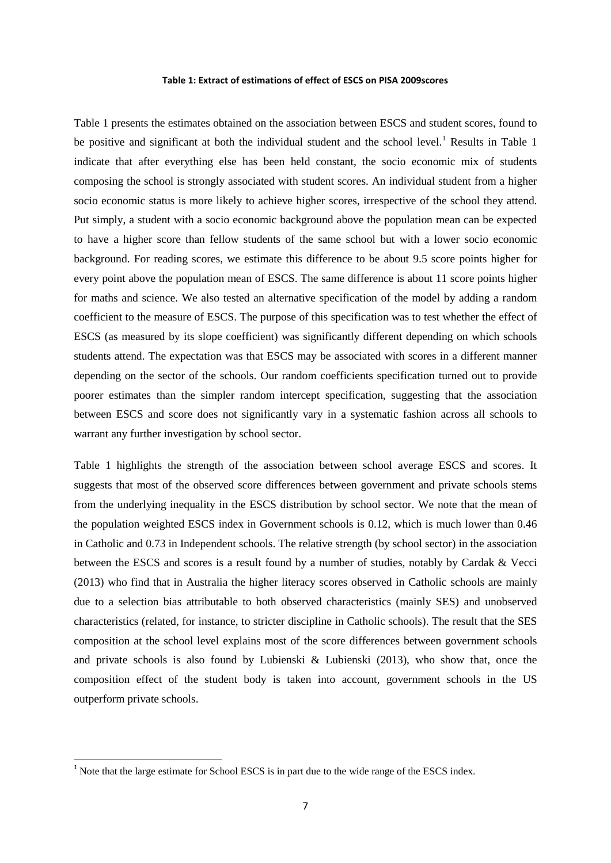#### **Table 1: Extract of estimations of effect of ESCS on PISA 2009scores**

Table 1 presents the estimates obtained on the association between ESCS and student scores, found to be positive and significant at both the individual student and the school level.<sup>1</sup> Results in Table 1 indicate that after everything else has been held constant, the socio economic mix of students composing the school is strongly associated with student scores. An individual student from a higher socio economic status is more likely to achieve higher scores, irrespective of the school they attend. Put simply, a student with a socio economic background above the population mean can be expected to have a higher score than fellow students of the same school but with a lower socio economic background. For reading scores, we estimate this difference to be about 9.5 score points higher for every point above the population mean of ESCS. The same difference is about 11 score points higher for maths and science. We also tested an alternative specification of the model by adding a random coefficient to the measure of ESCS. The purpose of this specification was to test whether the effect of ESCS (as measured by its slope coefficient) was significantly different depending on which schools students attend. The expectation was that ESCS may be associated with scores in a different manner depending on the sector of the schools. Our random coefficients specification turned out to provide poorer estimates than the simpler random intercept specification, suggesting that the association between ESCS and score does not significantly vary in a systematic fashion across all schools to warrant any further investigation by school sector.

Table 1 highlights the strength of the association between school average ESCS and scores. It suggests that most of the observed score differences between government and private schools stems from the underlying inequality in the ESCS distribution by school sector. We note that the mean of the population weighted ESCS index in Government schools is 0.12, which is much lower than 0.46 in Catholic and 0.73 in Independent schools. The relative strength (by school sector) in the association between the ESCS and scores is a result found by a number of studies, notably by Cardak & Vecci (2013) who find that in Australia the higher literacy scores observed in Catholic schools are mainly due to a selection bias attributable to both observed characteristics (mainly SES) and unobserved characteristics (related, for instance, to stricter discipline in Catholic schools). The result that the SES composition at the school level explains most of the score differences between government schools and private schools is also found by Lubienski & Lubienski (2013), who show that, once the composition effect of the student body is taken into account, government schools in the US outperform private schools.

<span id="page-8-0"></span><sup>&</sup>lt;sup>1</sup> Note that the large estimate for School ESCS is in part due to the wide range of the ESCS index.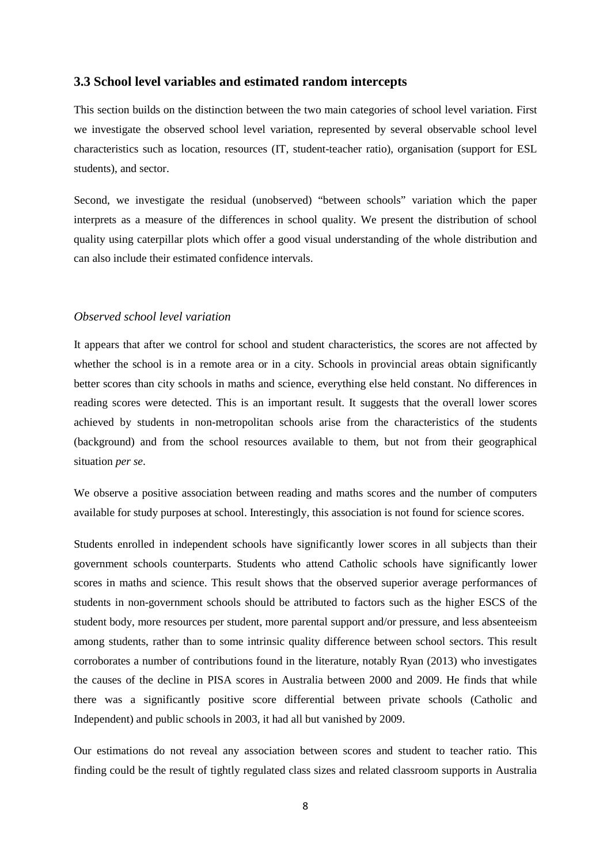#### **3.3 School level variables and estimated random intercepts**

This section builds on the distinction between the two main categories of school level variation. First we investigate the observed school level variation, represented by several observable school level characteristics such as location, resources (IT, student-teacher ratio), organisation (support for ESL students), and sector.

Second, we investigate the residual (unobserved) "between schools" variation which the paper interprets as a measure of the differences in school quality. We present the distribution of school quality using caterpillar plots which offer a good visual understanding of the whole distribution and can also include their estimated confidence intervals.

#### *Observed school level variation*

It appears that after we control for school and student characteristics, the scores are not affected by whether the school is in a remote area or in a city. Schools in provincial areas obtain significantly better scores than city schools in maths and science, everything else held constant. No differences in reading scores were detected. This is an important result. It suggests that the overall lower scores achieved by students in non-metropolitan schools arise from the characteristics of the students (background) and from the school resources available to them, but not from their geographical situation *per se*.

We observe a positive association between reading and maths scores and the number of computers available for study purposes at school. Interestingly, this association is not found for science scores.

Students enrolled in independent schools have significantly lower scores in all subjects than their government schools counterparts. Students who attend Catholic schools have significantly lower scores in maths and science. This result shows that the observed superior average performances of students in non-government schools should be attributed to factors such as the higher ESCS of the student body, more resources per student, more parental support and/or pressure, and less absenteeism among students, rather than to some intrinsic quality difference between school sectors. This result corroborates a number of contributions found in the literature, notably Ryan (2013) who investigates the causes of the decline in PISA scores in Australia between 2000 and 2009. He finds that while there was a significantly positive score differential between private schools (Catholic and Independent) and public schools in 2003, it had all but vanished by 2009.

Our estimations do not reveal any association between scores and student to teacher ratio. This finding could be the result of tightly regulated class sizes and related classroom supports in Australia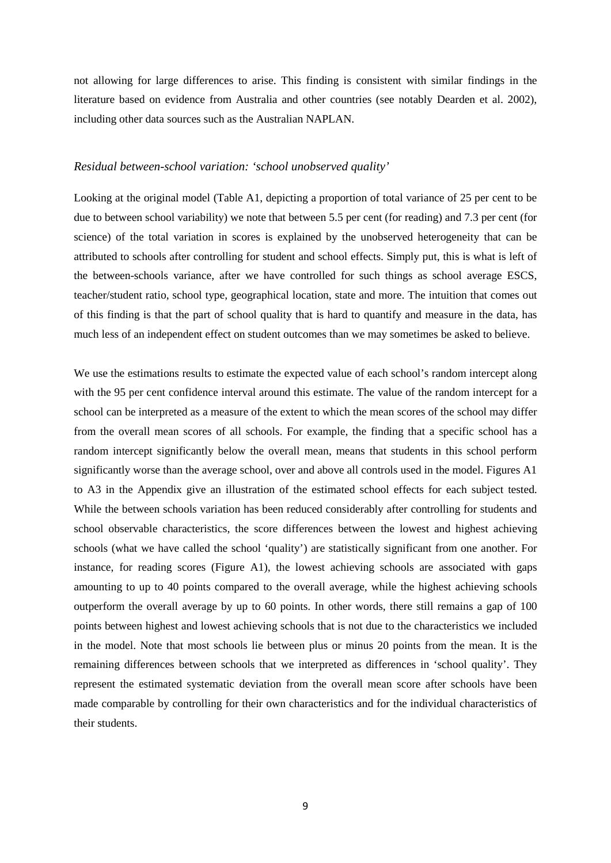not allowing for large differences to arise. This finding is consistent with similar findings in the literature based on evidence from Australia and other countries (see notably Dearden et al. 2002), including other data sources such as the Australian NAPLAN.

#### *Residual between-school variation: 'school unobserved quality'*

Looking at the original model (Table A1, depicting a proportion of total variance of 25 per cent to be due to between school variability) we note that between 5.5 per cent (for reading) and 7.3 per cent (for science) of the total variation in scores is explained by the unobserved heterogeneity that can be attributed to schools after controlling for student and school effects. Simply put, this is what is left of the between-schools variance, after we have controlled for such things as school average ESCS, teacher/student ratio, school type, geographical location, state and more. The intuition that comes out of this finding is that the part of school quality that is hard to quantify and measure in the data, has much less of an independent effect on student outcomes than we may sometimes be asked to believe.

We use the estimations results to estimate the expected value of each school's random intercept along with the 95 per cent confidence interval around this estimate. The value of the random intercept for a school can be interpreted as a measure of the extent to which the mean scores of the school may differ from the overall mean scores of all schools. For example, the finding that a specific school has a random intercept significantly below the overall mean, means that students in this school perform significantly worse than the average school, over and above all controls used in the model. Figures A1 to A3 in the Appendix give an illustration of the estimated school effects for each subject tested. While the between schools variation has been reduced considerably after controlling for students and school observable characteristics, the score differences between the lowest and highest achieving schools (what we have called the school 'quality') are statistically significant from one another. For instance, for reading scores (Figure A1), the lowest achieving schools are associated with gaps amounting to up to 40 points compared to the overall average, while the highest achieving schools outperform the overall average by up to 60 points. In other words, there still remains a gap of 100 points between highest and lowest achieving schools that is not due to the characteristics we included in the model. Note that most schools lie between plus or minus 20 points from the mean. It is the remaining differences between schools that we interpreted as differences in 'school quality'. They represent the estimated systematic deviation from the overall mean score after schools have been made comparable by controlling for their own characteristics and for the individual characteristics of their students.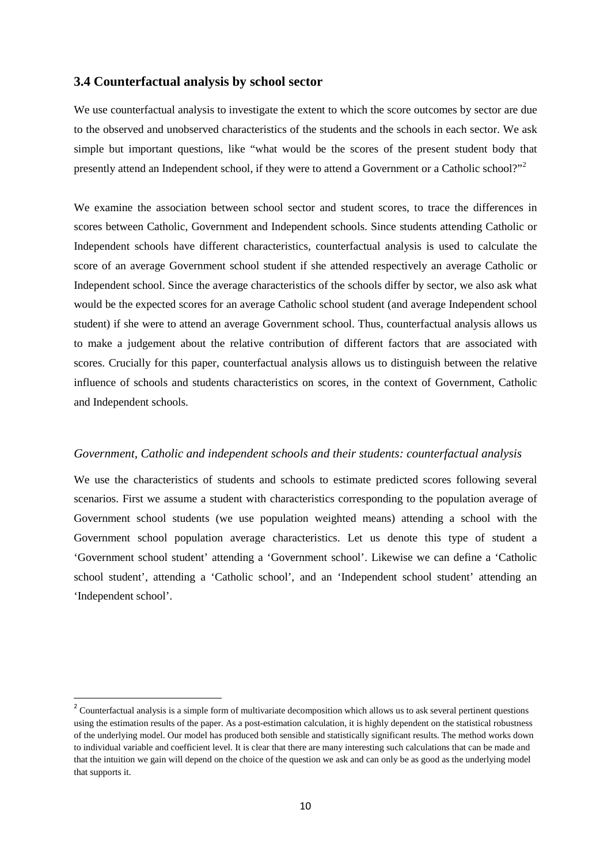#### **3.4 Counterfactual analysis by school sector**

We use counterfactual analysis to investigate the extent to which the score outcomes by sector are due to the observed and unobserved characteristics of the students and the schools in each sector. We ask simple but important questions, like "what would be the scores of the present student body that presently attend an Independent school, if they were to attend a Government or a Catholic school?"<sup>[2](#page-8-0)</sup>

We examine the association between school sector and student scores, to trace the differences in scores between Catholic, Government and Independent schools. Since students attending Catholic or Independent schools have different characteristics, counterfactual analysis is used to calculate the score of an average Government school student if she attended respectively an average Catholic or Independent school. Since the average characteristics of the schools differ by sector, we also ask what would be the expected scores for an average Catholic school student (and average Independent school student) if she were to attend an average Government school. Thus, counterfactual analysis allows us to make a judgement about the relative contribution of different factors that are associated with scores. Crucially for this paper, counterfactual analysis allows us to distinguish between the relative influence of schools and students characteristics on scores, in the context of Government, Catholic and Independent schools.

#### *Government, Catholic and independent schools and their students: counterfactual analysis*

We use the characteristics of students and schools to estimate predicted scores following several scenarios. First we assume a student with characteristics corresponding to the population average of Government school students (we use population weighted means) attending a school with the Government school population average characteristics. Let us denote this type of student a 'Government school student' attending a 'Government school'. Likewise we can define a 'Catholic school student', attending a 'Catholic school', and an 'Independent school student' attending an 'Independent school'.

<span id="page-11-0"></span><sup>&</sup>lt;sup>2</sup> Counterfactual analysis is a simple form of multivariate decomposition which allows us to ask several pertinent questions using the estimation results of the paper. As a post-estimation calculation, it is highly dependent on the statistical robustness of the underlying model. Our model has produced both sensible and statistically significant results. The method works down to individual variable and coefficient level. It is clear that there are many interesting such calculations that can be made and that the intuition we gain will depend on the choice of the question we ask and can only be as good as the underlying model that supports it.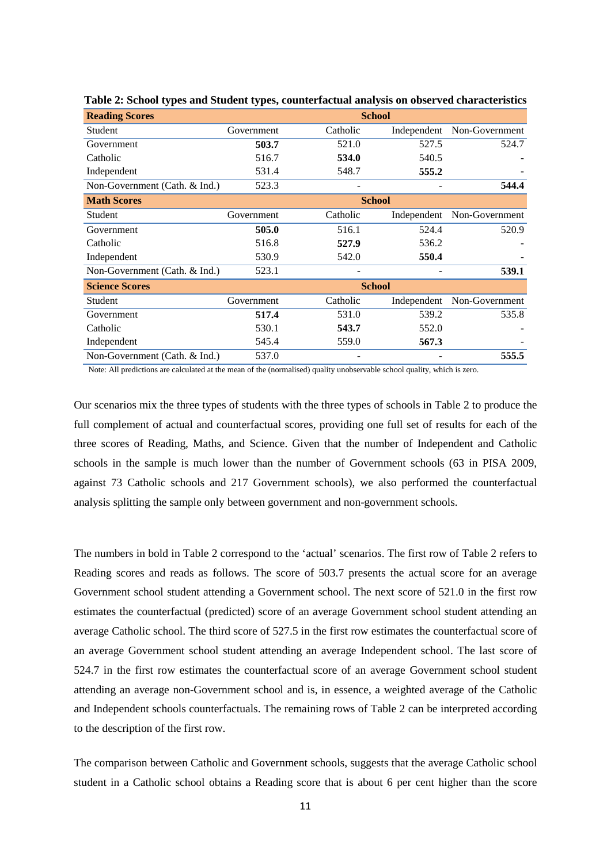| <b>Reading Scores</b>         | <b>School</b> |          |             |                |
|-------------------------------|---------------|----------|-------------|----------------|
| <b>Student</b>                | Government    | Catholic | Independent | Non-Government |
| Government                    | 503.7         | 521.0    | 527.5       | 524.7          |
| Catholic                      | 516.7         | 534.0    | 540.5       |                |
| Independent                   | 531.4         | 548.7    | 555.2       |                |
| Non-Government (Cath. & Ind.) | 523.3         |          |             | 544.4          |
| <b>Math Scores</b>            | <b>School</b> |          |             |                |
| Student                       | Government    | Catholic | Independent | Non-Government |
| Government                    | 505.0         | 516.1    | 524.4       | 520.9          |
| Catholic                      | 516.8         | 527.9    | 536.2       |                |
| Independent                   | 530.9         | 542.0    | 550.4       |                |
| Non-Government (Cath. & Ind.) | 523.1         |          |             | 539.1          |
| <b>Science Scores</b>         | <b>School</b> |          |             |                |
| <b>Student</b>                | Government    | Catholic | Independent | Non-Government |
| Government                    | 517.4         | 531.0    | 539.2       | 535.8          |
| Catholic                      | 530.1         | 543.7    | 552.0       |                |
| Independent                   | 545.4         | 559.0    | 567.3       |                |
| Non-Government (Cath. & Ind.) | 537.0         |          |             | 555.5          |

**Table 2: School types and Student types, counterfactual analysis on observed characteristics**

Note: All predictions are calculated at the mean of the (normalised) quality unobservable school quality, which is zero.

Our scenarios mix the three types of students with the three types of schools in Table 2 to produce the full complement of actual and counterfactual scores, providing one full set of results for each of the three scores of Reading, Maths, and Science. Given that the number of Independent and Catholic schools in the sample is much lower than the number of Government schools (63 in PISA 2009, against 73 Catholic schools and 217 Government schools), we also performed the counterfactual analysis splitting the sample only between government and non-government schools.

The numbers in bold in Table 2 correspond to the 'actual' scenarios. The first row of Table 2 refers to Reading scores and reads as follows. The score of 503.7 presents the actual score for an average Government school student attending a Government school. The next score of 521.0 in the first row estimates the counterfactual (predicted) score of an average Government school student attending an average Catholic school. The third score of 527.5 in the first row estimates the counterfactual score of an average Government school student attending an average Independent school. The last score of 524.7 in the first row estimates the counterfactual score of an average Government school student attending an average non-Government school and is, in essence, a weighted average of the Catholic and Independent schools counterfactuals. The remaining rows of Table 2 can be interpreted according to the description of the first row.

The comparison between Catholic and Government schools, suggests that the average Catholic school student in a Catholic school obtains a Reading score that is about 6 per cent higher than the score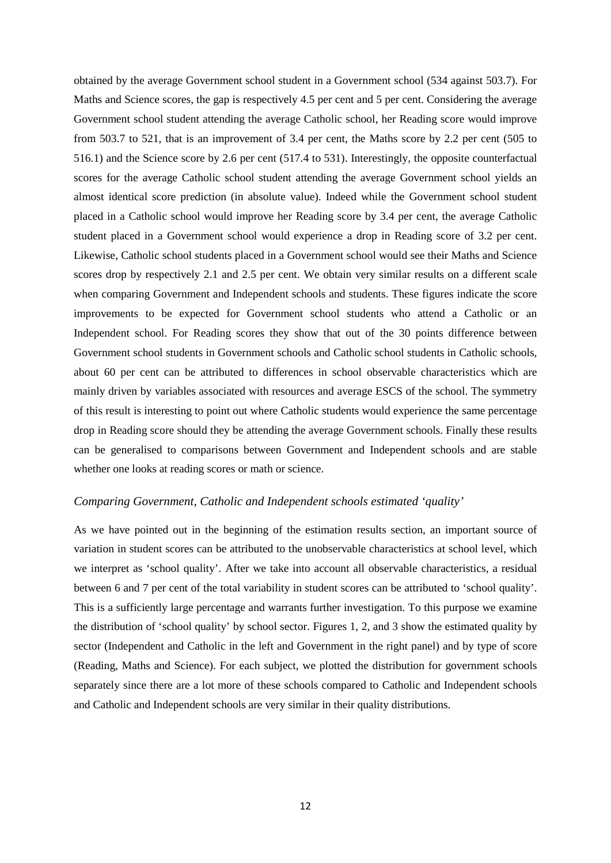obtained by the average Government school student in a Government school (534 against 503.7). For Maths and Science scores, the gap is respectively 4.5 per cent and 5 per cent. Considering the average Government school student attending the average Catholic school, her Reading score would improve from 503.7 to 521, that is an improvement of 3.4 per cent, the Maths score by 2.2 per cent (505 to 516.1) and the Science score by 2.6 per cent (517.4 to 531). Interestingly, the opposite counterfactual scores for the average Catholic school student attending the average Government school yields an almost identical score prediction (in absolute value). Indeed while the Government school student placed in a Catholic school would improve her Reading score by 3.4 per cent, the average Catholic student placed in a Government school would experience a drop in Reading score of 3.2 per cent. Likewise, Catholic school students placed in a Government school would see their Maths and Science scores drop by respectively 2.1 and 2.5 per cent. We obtain very similar results on a different scale when comparing Government and Independent schools and students. These figures indicate the score improvements to be expected for Government school students who attend a Catholic or an Independent school. For Reading scores they show that out of the 30 points difference between Government school students in Government schools and Catholic school students in Catholic schools, about 60 per cent can be attributed to differences in school observable characteristics which are mainly driven by variables associated with resources and average ESCS of the school. The symmetry of this result is interesting to point out where Catholic students would experience the same percentage drop in Reading score should they be attending the average Government schools. Finally these results can be generalised to comparisons between Government and Independent schools and are stable whether one looks at reading scores or math or science.

#### *Comparing Government, Catholic and Independent schools estimated 'quality'*

As we have pointed out in the beginning of the estimation results section, an important source of variation in student scores can be attributed to the unobservable characteristics at school level, which we interpret as 'school quality'. After we take into account all observable characteristics, a residual between 6 and 7 per cent of the total variability in student scores can be attributed to 'school quality'. This is a sufficiently large percentage and warrants further investigation. To this purpose we examine the distribution of 'school quality' by school sector. Figures 1, 2, and 3 show the estimated quality by sector (Independent and Catholic in the left and Government in the right panel) and by type of score (Reading, Maths and Science). For each subject, we plotted the distribution for government schools separately since there are a lot more of these schools compared to Catholic and Independent schools and Catholic and Independent schools are very similar in their quality distributions.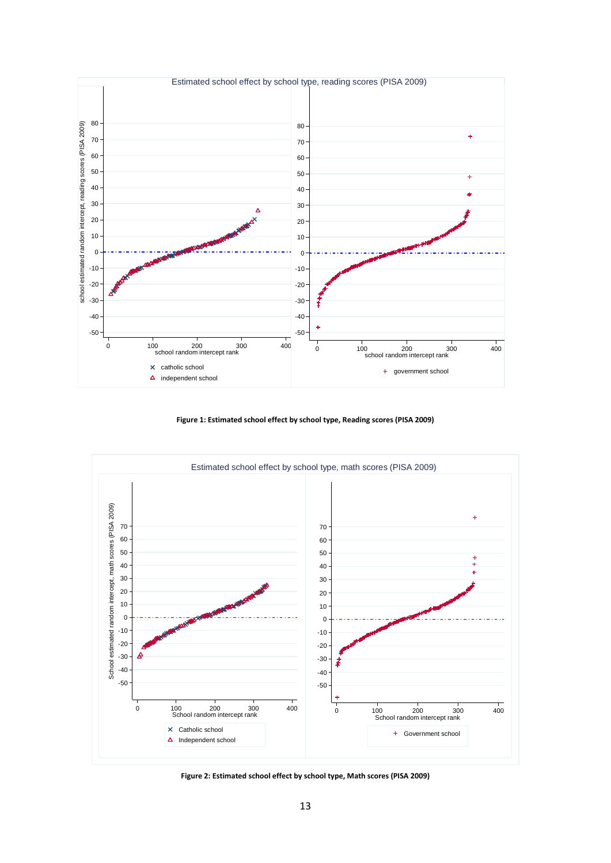

**Figure 1: Estimated school effect by school type, Reading scores (PISA 2009)**



**Figure 2: Estimated school effect by school type, Math scores (PISA 2009)**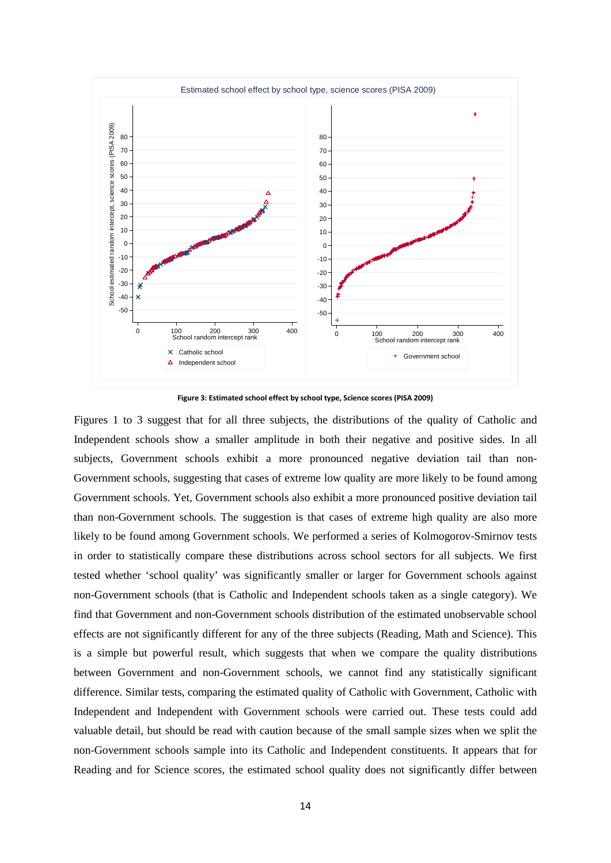

**Figure 3: Estimated school effect by school type, Science scores (PISA 2009)**

Figures 1 to 3 suggest that for all three subjects, the distributions of the quality of Catholic and Independent schools show a smaller amplitude in both their negative and positive sides. In all subjects, Government schools exhibit a more pronounced negative deviation tail than non-Government schools, suggesting that cases of extreme low quality are more likely to be found among Government schools. Yet, Government schools also exhibit a more pronounced positive deviation tail than non-Government schools. The suggestion is that cases of extreme high quality are also more likely to be found among Government schools. We performed a series of Kolmogorov-Smirnov tests in order to statistically compare these distributions across school sectors for all subjects. We first tested whether 'school quality' was significantly smaller or larger for Government schools against non-Government schools (that is Catholic and Independent schools taken as a single category). We find that Government and non-Government schools distribution of the estimated unobservable school effects are not significantly different for any of the three subjects (Reading, Math and Science). This is a simple but powerful result, which suggests that when we compare the quality distributions between Government and non-Government schools, we cannot find any statistically significant difference. Similar tests, comparing the estimated quality of Catholic with Government, Catholic with Independent and Independent with Government schools were carried out. These tests could add valuable detail, but should be read with caution because of the small sample sizes when we split the non-Government schools sample into its Catholic and Independent constituents. It appears that for Reading and for Science scores, the estimated school quality does not significantly differ between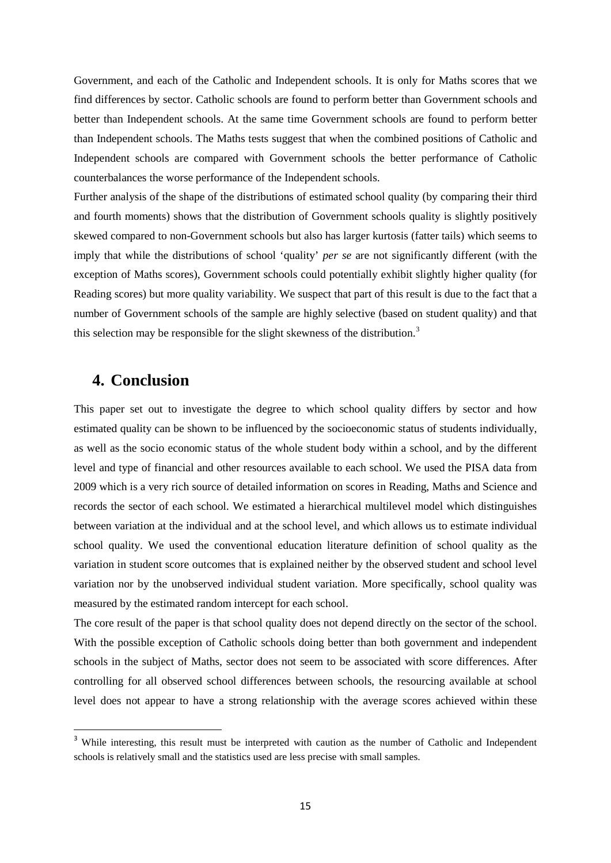Government, and each of the Catholic and Independent schools. It is only for Maths scores that we find differences by sector. Catholic schools are found to perform better than Government schools and better than Independent schools. At the same time Government schools are found to perform better than Independent schools. The Maths tests suggest that when the combined positions of Catholic and Independent schools are compared with Government schools the better performance of Catholic counterbalances the worse performance of the Independent schools.

Further analysis of the shape of the distributions of estimated school quality (by comparing their third and fourth moments) shows that the distribution of Government schools quality is slightly positively skewed compared to non-Government schools but also has larger kurtosis (fatter tails) which seems to imply that while the distributions of school 'quality' *per se* are not significantly different (with the exception of Maths scores), Government schools could potentially exhibit slightly higher quality (for Reading scores) but more quality variability. We suspect that part of this result is due to the fact that a number of Government schools of the sample are highly selective (based on student quality) and that this selection may be responsible for the slight skewness of the distribution.<sup>[3](#page-11-0)</sup>

# **4. Conclusion**

This paper set out to investigate the degree to which school quality differs by sector and how estimated quality can be shown to be influenced by the socioeconomic status of students individually, as well as the socio economic status of the whole student body within a school, and by the different level and type of financial and other resources available to each school. We used the PISA data from 2009 which is a very rich source of detailed information on scores in Reading, Maths and Science and records the sector of each school. We estimated a hierarchical multilevel model which distinguishes between variation at the individual and at the school level, and which allows us to estimate individual school quality. We used the conventional education literature definition of school quality as the variation in student score outcomes that is explained neither by the observed student and school level variation nor by the unobserved individual student variation. More specifically, school quality was measured by the estimated random intercept for each school.

The core result of the paper is that school quality does not depend directly on the sector of the school. With the possible exception of Catholic schools doing better than both government and independent schools in the subject of Maths, sector does not seem to be associated with score differences. After controlling for all observed school differences between schools, the resourcing available at school level does not appear to have a strong relationship with the average scores achieved within these

<sup>&</sup>lt;sup>3</sup> While interesting, this result must be interpreted with caution as the number of Catholic and Independent schools is relatively small and the statistics used are less precise with small samples.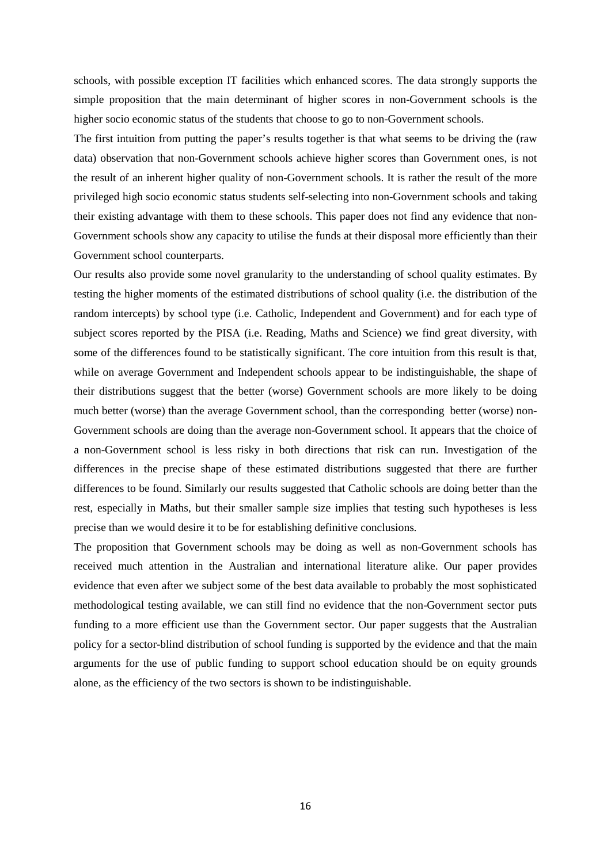schools, with possible exception IT facilities which enhanced scores. The data strongly supports the simple proposition that the main determinant of higher scores in non-Government schools is the higher socio economic status of the students that choose to go to non-Government schools.

The first intuition from putting the paper's results together is that what seems to be driving the (raw data) observation that non-Government schools achieve higher scores than Government ones, is not the result of an inherent higher quality of non-Government schools. It is rather the result of the more privileged high socio economic status students self-selecting into non-Government schools and taking their existing advantage with them to these schools. This paper does not find any evidence that non-Government schools show any capacity to utilise the funds at their disposal more efficiently than their Government school counterparts.

Our results also provide some novel granularity to the understanding of school quality estimates. By testing the higher moments of the estimated distributions of school quality (i.e. the distribution of the random intercepts) by school type (i.e. Catholic, Independent and Government) and for each type of subject scores reported by the PISA (i.e. Reading, Maths and Science) we find great diversity, with some of the differences found to be statistically significant. The core intuition from this result is that, while on average Government and Independent schools appear to be indistinguishable, the shape of their distributions suggest that the better (worse) Government schools are more likely to be doing much better (worse) than the average Government school, than the corresponding better (worse) non-Government schools are doing than the average non-Government school. It appears that the choice of a non-Government school is less risky in both directions that risk can run. Investigation of the differences in the precise shape of these estimated distributions suggested that there are further differences to be found. Similarly our results suggested that Catholic schools are doing better than the rest, especially in Maths, but their smaller sample size implies that testing such hypotheses is less precise than we would desire it to be for establishing definitive conclusions.

The proposition that Government schools may be doing as well as non-Government schools has received much attention in the Australian and international literature alike. Our paper provides evidence that even after we subject some of the best data available to probably the most sophisticated methodological testing available, we can still find no evidence that the non-Government sector puts funding to a more efficient use than the Government sector. Our paper suggests that the Australian policy for a sector-blind distribution of school funding is supported by the evidence and that the main arguments for the use of public funding to support school education should be on equity grounds alone, as the efficiency of the two sectors is shown to be indistinguishable.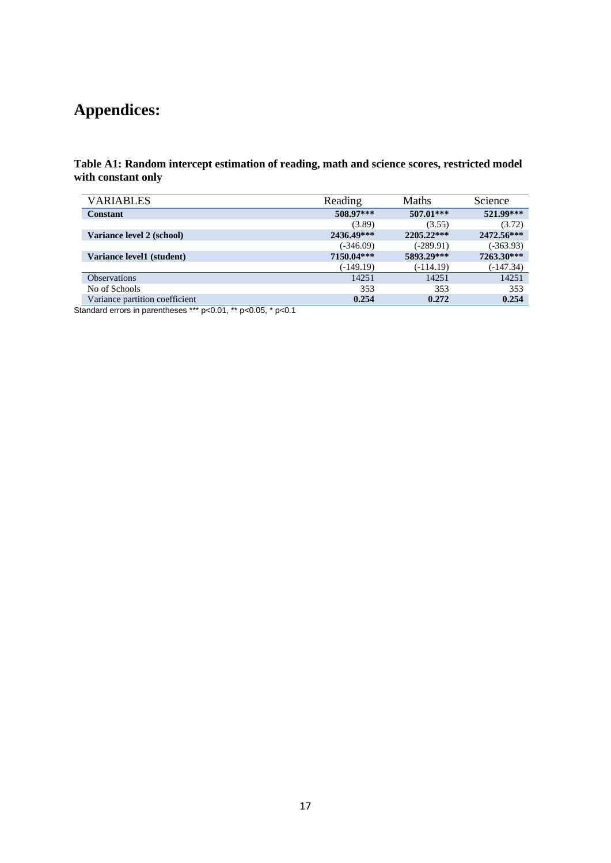# **Appendices:**

**Table A1: Random intercept estimation of reading, math and science scores, restricted model with constant only**

| <b>VARIABLES</b>               | Reading     | <b>Maths</b> | Science     |
|--------------------------------|-------------|--------------|-------------|
| Constant                       | 508.97***   | $507.01***$  | 521.99***   |
|                                | (3.89)      | (3.55)       | (3.72)      |
| Variance level 2 (school)      | 2436.49***  | $2205.22***$ | 2472.56***  |
|                                | $(-346.09)$ | $(-289.91)$  | $(-363.93)$ |
| Variance level1 (student)      | 7150.04***  | 5893.29***   | 7263.30***  |
|                                | $(-149.19)$ | $(-114.19)$  | $(-147.34)$ |
| <b>Observations</b>            | 14251       | 14251        | 14251       |
| No of Schools                  | 353         | 353          | 353         |
| Variance partition coefficient | 0.254       | 0.272        | 0.254       |

Standard errors in parentheses \*\*\* p<0.01, \*\* p<0.05, \* p<0.1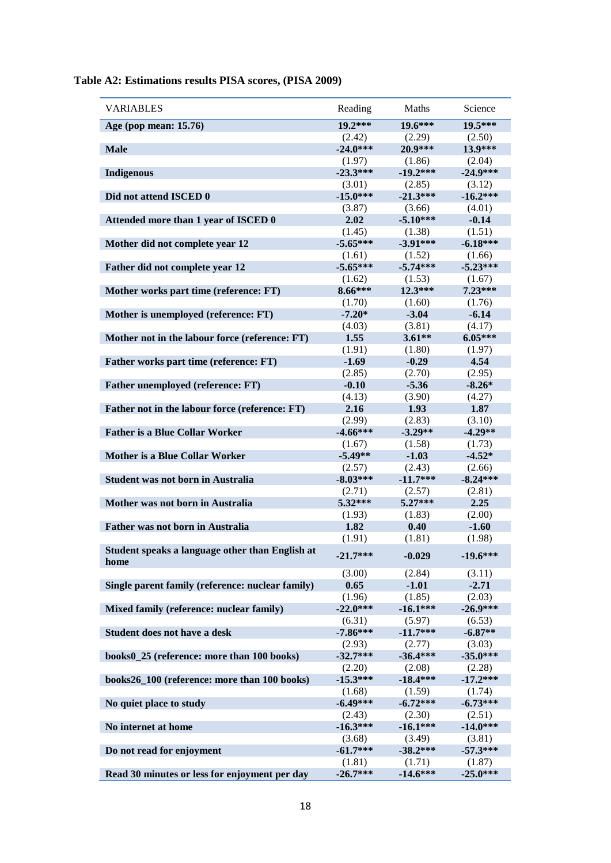| <b>VARIABLES</b>                                        | Reading    | Maths      | Science    |
|---------------------------------------------------------|------------|------------|------------|
| Age (pop mean: 15.76)                                   | $19.2***$  | 19.6***    | 19.5***    |
|                                                         | (2.42)     | (2.29)     | (2.50)     |
| <b>Male</b>                                             | $-24.0***$ | 20.9***    | 13.9***    |
|                                                         | (1.97)     | (1.86)     | (2.04)     |
| <b>Indigenous</b>                                       | $-23.3***$ | $-19.2***$ | $-24.9***$ |
|                                                         | (3.01)     | (2.85)     | (3.12)     |
| Did not attend ISCED 0                                  | $-15.0***$ | $-21.3***$ | $-16.2***$ |
|                                                         | (3.87)     | (3.66)     | (4.01)     |
| Attended more than 1 year of ISCED 0                    | 2.02       | $-5.10***$ | $-0.14$    |
|                                                         | (1.45)     | (1.38)     | (1.51)     |
| Mother did not complete year 12                         | $-5.65***$ | $-3.91***$ | $-6.18***$ |
|                                                         | (1.61)     | (1.52)     | (1.66)     |
| Father did not complete year 12                         | $-5.65***$ | $-5.74***$ | $-5.23***$ |
|                                                         | (1.62)     | (1.53)     | (1.67)     |
| Mother works part time (reference: FT)                  | $8.66***$  | $12.3***$  | $7.23***$  |
|                                                         | (1.70)     | (1.60)     | (1.76)     |
| Mother is unemployed (reference: FT)                    | $-7.20*$   | $-3.04$    | $-6.14$    |
|                                                         | (4.03)     | (3.81)     | (4.17)     |
| Mother not in the labour force (reference: FT)          | 1.55       | $3.61**$   | $6.05***$  |
|                                                         | (1.91)     | (1.80)     | (1.97)     |
| Father works part time (reference: FT)                  | $-1.69$    | $-0.29$    | 4.54       |
|                                                         | (2.85)     | (2.70)     | (2.95)     |
| Father unemployed (reference: FT)                       | $-0.10$    | $-5.36$    | $-8.26*$   |
|                                                         | (4.13)     | (3.90)     | (4.27)     |
| Father not in the labour force (reference: FT)          | 2.16       | 1.93       | 1.87       |
|                                                         | (2.99)     | (2.83)     | (3.10)     |
| <b>Father is a Blue Collar Worker</b>                   | $-4.66***$ | $-3.29**$  | $-4.29**$  |
|                                                         | (1.67)     | (1.58)     | (1.73)     |
| <b>Mother is a Blue Collar Worker</b>                   | $-5.49**$  | $-1.03$    | $-4.52*$   |
|                                                         | (2.57)     | (2.43)     | (2.66)     |
| <b>Student was not born in Australia</b>                | $-8.03***$ | $-11.7***$ | $-8.24***$ |
|                                                         | (2.71)     | (2.57)     | (2.81)     |
| Mother was not born in Australia                        | $5.32***$  | $5.27***$  | 2.25       |
|                                                         | (1.93)     | (1.83)     | (2.00)     |
| <b>Father was not born in Australia</b>                 | 1.82       | 0.40       | $-1.60$    |
|                                                         | (1.91)     | (1.81)     | (1.98)     |
| Student speaks a language other than English at<br>home | $-21.7***$ | $-0.029$   | $-19.6***$ |
|                                                         | (3.00)     | (2.84)     | (3.11)     |
| Single parent family (reference: nuclear family)        | 0.65       | $-1.01$    | $-2.71$    |
|                                                         | (1.96)     | (1.85)     | (2.03)     |
| Mixed family (reference: nuclear family)                | $-22.0***$ | $-16.1***$ | $-26.9***$ |
|                                                         | (6.31)     | (5.97)     | (6.53)     |
| Student does not have a desk                            | $-7.86***$ | $-11.7***$ | $-6.87**$  |
|                                                         | (2.93)     | (2.77)     | (3.03)     |
| books0_25 (reference: more than 100 books)              | $-32.7***$ | $-36.4***$ | $-35.0***$ |
|                                                         | (2.20)     | (2.08)     | (2.28)     |
| books26_100 (reference: more than 100 books)            | $-15.3***$ | $-18.4***$ | $-17.2***$ |
|                                                         | (1.68)     | (1.59)     | (1.74)     |
| No quiet place to study                                 | $-6.49***$ | $-6.72***$ | $-6.73***$ |
|                                                         | (2.43)     | (2.30)     | (2.51)     |
| No internet at home                                     | $-16.3***$ | $-16.1***$ | $-14.0***$ |
|                                                         | (3.68)     | (3.49)     | (3.81)     |
| Do not read for enjoyment                               | $-61.7***$ | $-38.2***$ | $-57.3***$ |
|                                                         | (1.81)     | (1.71)     | (1.87)     |
| Read 30 minutes or less for enjoyment per day           | $-26.7***$ | $-14.6***$ | $-25.0***$ |

**Table A2: Estimations results PISA scores, (PISA 2009)**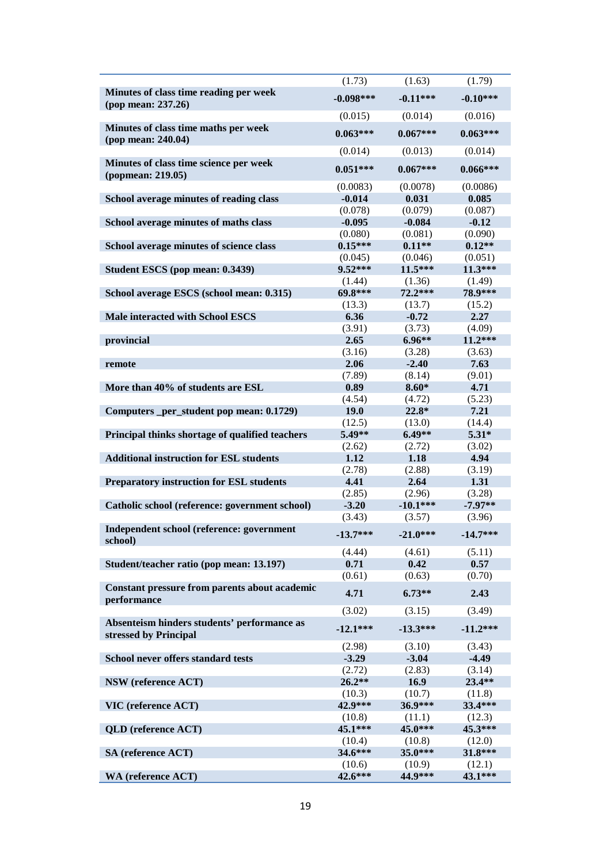|                                                                      | (1.73)               | (1.63)              | (1.79)              |
|----------------------------------------------------------------------|----------------------|---------------------|---------------------|
| Minutes of class time reading per week<br>(pop mean: 237.26)         | $-0.098***$          | $-0.11***$          | $-0.10***$          |
|                                                                      | (0.015)              | (0.014)             | (0.016)             |
| Minutes of class time maths per week<br>(pop mean: 240.04)           | $0.063***$           | $0.067***$          | $0.063***$          |
|                                                                      | (0.014)              | (0.013)             | (0.014)             |
| Minutes of class time science per week<br>(popmean: 219.05)          | $0.051***$           | $0.067***$          | $0.066***$          |
|                                                                      | (0.0083)             | (0.0078)            | (0.0086)            |
| School average minutes of reading class                              | $-0.014$             | 0.031               | 0.085               |
|                                                                      | (0.078)              | (0.079)             | (0.087)             |
| School average minutes of maths class                                | $-0.095$             | $-0.084$            | $-0.12$             |
| School average minutes of science class                              | (0.080)<br>$0.15***$ | (0.081)<br>$0.11**$ | (0.090)<br>$0.12**$ |
|                                                                      | (0.045)              | (0.046)             | (0.051)             |
| Student ESCS (pop mean: 0.3439)                                      | 9.52***              | 11.5***             | 11.3***             |
|                                                                      | (1.44)               | (1.36)              | (1.49)              |
| School average ESCS (school mean: 0.315)                             | 69.8***              | $72.2***$           | 78.9***             |
|                                                                      | (13.3)               | (13.7)              | (15.2)              |
| <b>Male interacted with School ESCS</b>                              | 6.36                 | $-0.72$             | 2.27                |
|                                                                      | (3.91)               | (3.73)              | (4.09)              |
| provincial                                                           | 2.65                 | $6.96**$            | $11.2***$           |
|                                                                      | (3.16)               | (3.28)              | (3.63)              |
| remote                                                               | 2.06                 | $-2.40$             | 7.63                |
|                                                                      | (7.89)               | (8.14)              | (9.01)              |
| More than 40% of students are ESL                                    | 0.89                 | $8.60*$             | 4.71                |
|                                                                      | (4.54)               | (4.72)              | (5.23)              |
| Computers _per_student pop mean: 0.1729)                             | 19.0                 | $22.8*$             | 7.21                |
|                                                                      | (12.5)               | (13.0)              | (14.4)              |
| Principal thinks shortage of qualified teachers                      | 5.49**               | $6.49**$            | $5.31*$             |
| <b>Additional instruction for ESL students</b>                       | (2.62)<br>1.12       | (2.72)<br>1.18      | (3.02)<br>4.94      |
|                                                                      | (2.78)               | (2.88)              | (3.19)              |
| <b>Preparatory instruction for ESL students</b>                      | 4.41                 | 2.64                | 1.31                |
|                                                                      | (2.85)               | (2.96)              | (3.28)              |
| Catholic school (reference: government school)                       | $-3.20$              | $-10.1***$          | $-7.97**$           |
|                                                                      | (3.43)               | (3.57)              | (3.96)              |
| Independent school (reference: government<br>school)                 | $-13.7***$           | $-21.0***$          | $-14.7***$          |
|                                                                      | (4.44)               | (4.61)              | (5.11)              |
| Student/teacher ratio (pop mean: 13.197)                             | 0.71                 | 0.42                | 0.57                |
|                                                                      | (0.61)               | (0.63)              | (0.70)              |
| Constant pressure from parents about academic<br>performance         | 4.71                 | $6.73**$            | 2.43                |
|                                                                      | (3.02)               | (3.15)              | (3.49)              |
| Absenteism hinders students' performance as<br>stressed by Principal | $-12.1***$           | $-13.3***$          | $-11.2***$          |
|                                                                      | (2.98)               | (3.10)              | (3.43)              |
| School never offers standard tests                                   | $-3.29$              | $-3.04$             | $-4.49$             |
|                                                                      | (2.72)               | (2.83)              | (3.14)              |
| <b>NSW</b> (reference ACT)                                           | $26.2**$             | 16.9                | 23.4**              |
|                                                                      | (10.3)               | (10.7)              | (11.8)              |
| VIC (reference ACT)                                                  | 42.9***              | 36.9***             | 33.4***             |
|                                                                      | (10.8)<br>45.1***    | (11.1)<br>45.0***   | (12.3)<br>45.3***   |
| <b>QLD</b> (reference ACT)                                           |                      |                     |                     |
| SA (reference ACT)                                                   | (10.4)<br>34.6***    | (10.8)<br>$35.0***$ | (12.0)<br>31.8***   |
|                                                                      | (10.6)               | (10.9)              | (12.1)              |
| <b>WA</b> (reference ACT)                                            | 42.6***              | 44.9***             | 43.1***             |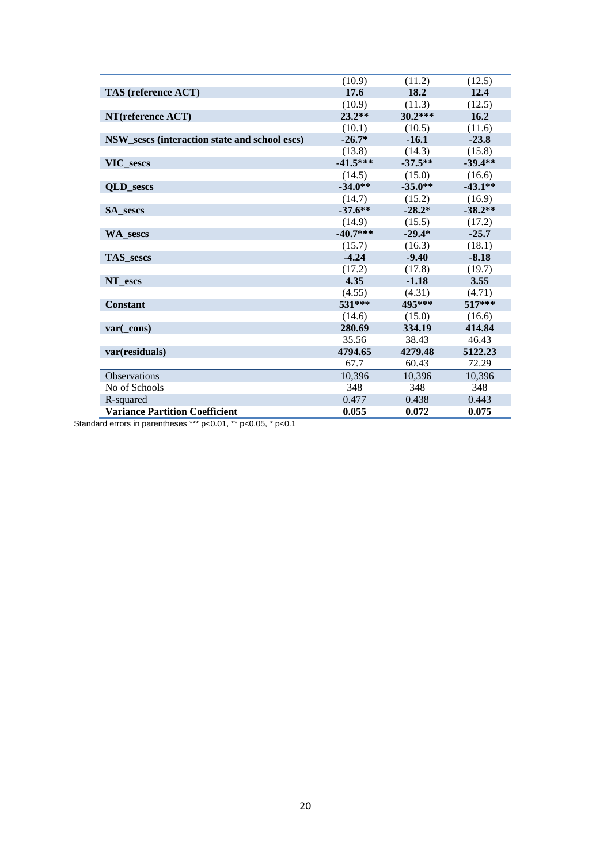|                                               | (10.9)     | (11.2)    | (12.5)    |
|-----------------------------------------------|------------|-----------|-----------|
| TAS (reference ACT)                           | 17.6       | 18.2      | 12.4      |
|                                               | (10.9)     | (11.3)    | (12.5)    |
| NT(reference ACT)                             | $23.2**$   | $30.2***$ | 16.2      |
|                                               | (10.1)     | (10.5)    | (11.6)    |
| NSW_sescs (interaction state and school escs) | $-26.7*$   | $-16.1$   | $-23.8$   |
|                                               | (13.8)     | (14.3)    | (15.8)    |
| VIC sescs                                     | $-41.5***$ | $-37.5**$ | $-39.4**$ |
|                                               | (14.5)     | (15.0)    | (16.6)    |
| <b>OLD</b> sescs                              | $-34.0**$  | $-35.0**$ | $-43.1**$ |
|                                               | (14.7)     | (15.2)    | (16.9)    |
| <b>SA</b> sescs                               | $-37.6***$ | $-28.2*$  | $-38.2**$ |
|                                               | (14.9)     | (15.5)    | (17.2)    |
| <b>WA</b> sescs                               | $-40.7***$ | $-29.4*$  | $-25.7$   |
|                                               | (15.7)     | (16.3)    | (18.1)    |
| <b>TAS</b> sescs                              | $-4.24$    | $-9.40$   | $-8.18$   |
|                                               | (17.2)     | (17.8)    | (19.7)    |
| NT escs                                       | 4.35       | $-1.18$   | 3.55      |
|                                               | (4.55)     | (4.31)    | (4.71)    |
| <b>Constant</b>                               | 531***     | 495***    | $517***$  |
|                                               | (14.6)     | (15.0)    | (16.6)    |
| var(cons)                                     | 280.69     | 334.19    | 414.84    |
|                                               | 35.56      | 38.43     | 46.43     |
| var(residuals)                                | 4794.65    | 4279.48   | 5122.23   |
|                                               | 67.7       | 60.43     | 72.29     |
| <b>Observations</b>                           | 10,396     | 10,396    | 10,396    |
| No of Schools                                 | 348        | 348       | 348       |
| R-squared                                     | 0.477      | 0.438     | 0.443     |
| <b>Variance Partition Coefficient</b>         | 0.055      | 0.072     | 0.075     |

Standard errors in parentheses \*\*\* p<0.01, \*\* p<0.05, \* p<0.1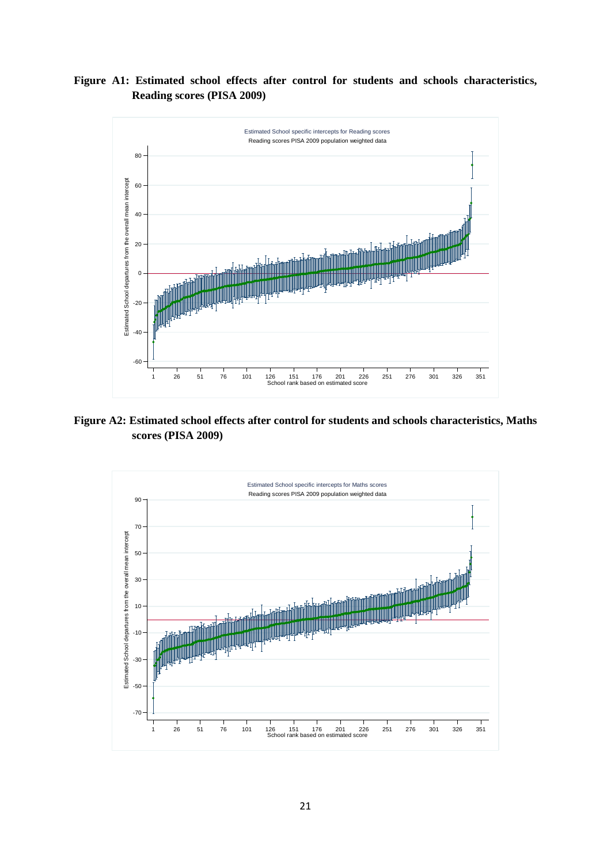**Figure A1: Estimated school effects after control for students and schools characteristics, Reading scores (PISA 2009)**



**Figure A2: Estimated school effects after control for students and schools characteristics, Maths scores (PISA 2009)**

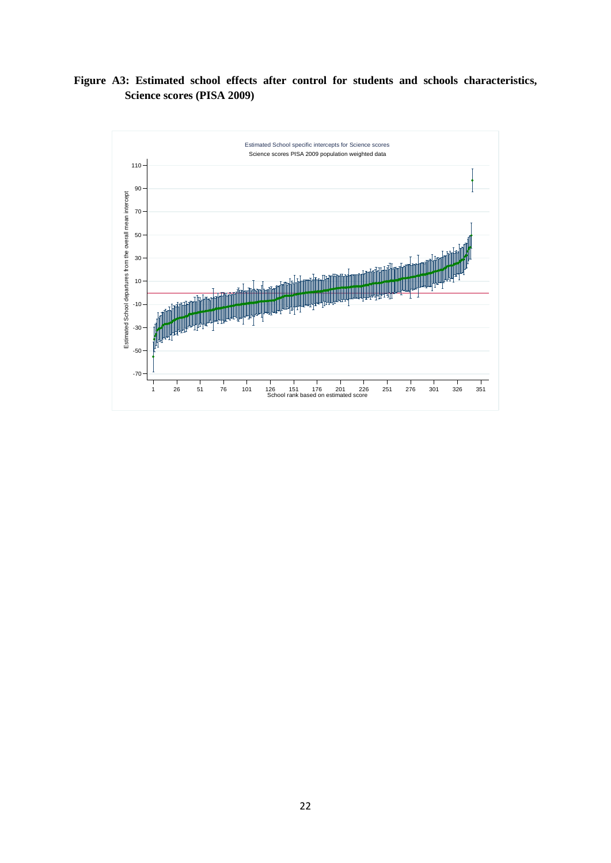**Figure A3: Estimated school effects after control for students and schools characteristics, Science scores (PISA 2009)**